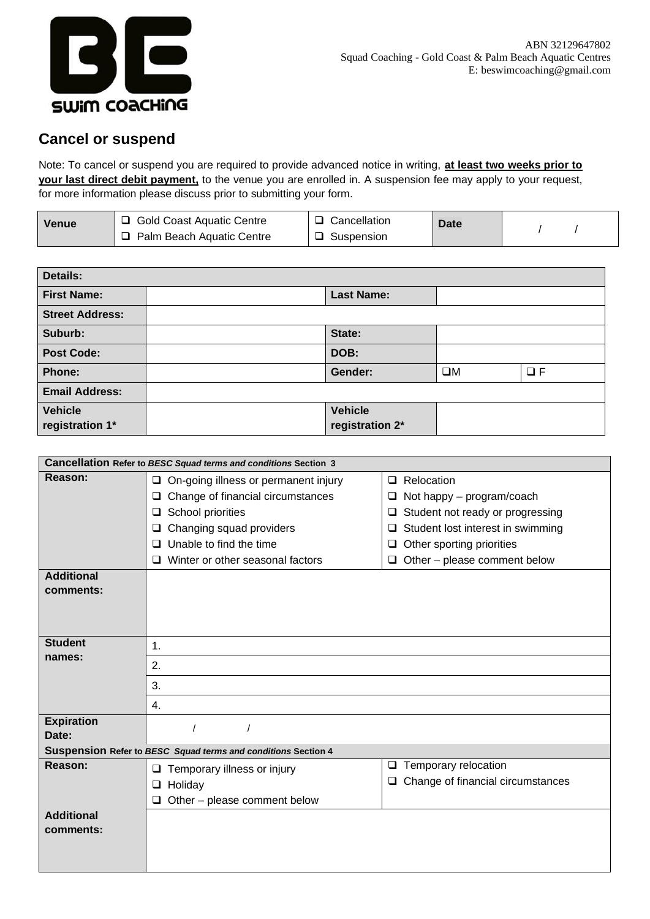

## **Cancel or suspend**

Note: To cancel or suspend you are required to provide advanced notice in writing, **at least two weeks prior to your last direct debit payment,** to the venue you are enrolled in. A suspension fee may apply to your request, for more information please discuss prior to submitting your form.

| Venue | <b>Gold Coast Aquatic Centre</b> | Cancellation | <b>Date</b> |  |
|-------|----------------------------------|--------------|-------------|--|
|       | Palm Beach Aquatic Centre        | Suspension   |             |  |

| <b>Details:</b>                   |  |                                   |             |          |
|-----------------------------------|--|-----------------------------------|-------------|----------|
| <b>First Name:</b>                |  | <b>Last Name:</b>                 |             |          |
| <b>Street Address:</b>            |  |                                   |             |          |
| Suburb:                           |  | State:                            |             |          |
| <b>Post Code:</b>                 |  | DOB:                              |             |          |
| Phone:                            |  | Gender:                           | $\square M$ | $\Box F$ |
| <b>Email Address:</b>             |  |                                   |             |          |
| <b>Vehicle</b><br>registration 1* |  | <b>Vehicle</b><br>registration 2* |             |          |

| Cancellation Refer to BESC Squad terms and conditions Section 3 |                                                               |                                             |  |  |  |  |
|-----------------------------------------------------------------|---------------------------------------------------------------|---------------------------------------------|--|--|--|--|
| Reason:                                                         | On-going illness or permanent injury<br>$\Box$                | Relocation<br>$\Box$                        |  |  |  |  |
|                                                                 | Change of financial circumstances<br>❏                        | Not happy – program/coach<br>□              |  |  |  |  |
|                                                                 | School priorities<br>$\Box$                                   | Student not ready or progressing<br>$\Box$  |  |  |  |  |
|                                                                 | Changing squad providers<br>⊔                                 | Student lost interest in swimming<br>$\Box$ |  |  |  |  |
|                                                                 | Unable to find the time<br><b>□</b>                           | Other sporting priorities<br>O              |  |  |  |  |
|                                                                 | Winter or other seasonal factors<br>□                         | $\Box$ Other – please comment below         |  |  |  |  |
| <b>Additional</b>                                               |                                                               |                                             |  |  |  |  |
| comments:                                                       |                                                               |                                             |  |  |  |  |
|                                                                 |                                                               |                                             |  |  |  |  |
|                                                                 |                                                               |                                             |  |  |  |  |
| <b>Student</b>                                                  | 1.                                                            |                                             |  |  |  |  |
| names:                                                          | 2.                                                            |                                             |  |  |  |  |
|                                                                 |                                                               |                                             |  |  |  |  |
|                                                                 | 3.                                                            |                                             |  |  |  |  |
|                                                                 | 4.                                                            |                                             |  |  |  |  |
| <b>Expiration</b>                                               |                                                               |                                             |  |  |  |  |
| Date:                                                           |                                                               |                                             |  |  |  |  |
|                                                                 | Suspension Refer to BESC Squad terms and conditions Section 4 |                                             |  |  |  |  |
| Reason:                                                         | Temporary illness or injury<br>❏                              | Temporary relocation<br>$\Box$              |  |  |  |  |
|                                                                 | Holiday<br>$\Box$                                             | Change of financial circumstances<br>$\Box$ |  |  |  |  |
|                                                                 | Other - please comment below<br>Q.                            |                                             |  |  |  |  |
| <b>Additional</b>                                               |                                                               |                                             |  |  |  |  |
| comments:                                                       |                                                               |                                             |  |  |  |  |
|                                                                 |                                                               |                                             |  |  |  |  |
|                                                                 |                                                               |                                             |  |  |  |  |